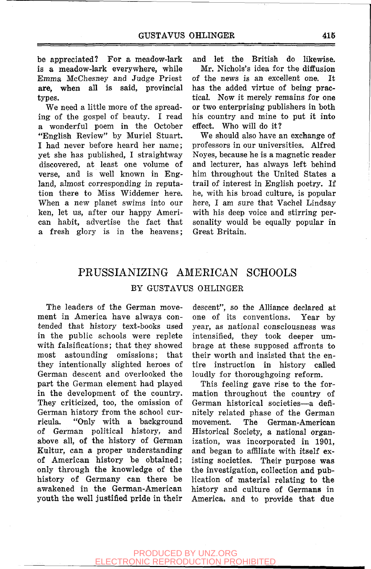be appreciated? For a meadow-lark is **a** meadow-lark everywhere, while Emma McChesney and Judge Priest **are,** when all is said, provincial types.

We need a little more of the spreading of the gospel of beauty. I read a wonderful poem in the October "English Review" by Muriel Stuart. I had never before heard her name; yet she has published, I straightway discovered, at least one volume of verse, and is well known in England, almost corresponding in reputation there to Miss Widdemer here. When a new planet swims into our ken, let us, after our happy American habit, advertise the fact that a fresh glory is in the heavens;

and let the British do likewise.

Mr. Nichols's idea for the diffusion of the news is an excellent one. It has the added virtue of being practical. Now it merely remains for one or two enterprising publishers in both his country and mine to put it into effect. Who will do it?

We should also have an exchange of professors in our universities. Alfred Noyes, because he is a magnetic reader and lecturer, has always left behind him throughout the United States a trail of interest in English poetry. If he, with his broad culture, is popular here, I am sure that Vachel Lindsay with his deep voice and stirring personality would be equally popular in Great Britain.

## PRUSSIANIZING AMERICAN SCHOOLS BY GUSTAVUS OHLINGER

The leaders of the German movement in America have always contended that history text-books used in the public schools were replete with falsifications; that they showed most astounding omissions; that they intentionally slighted heroes of German descent and overlooked the part the German element had played in the development of the country. They criticized, too, the omission of German history from the school curricula. "Only with a background of German political history, and above all, of the history of German Kultur, can **a** proper understanding of American history be obtained; only through the knowledge of the history of Germany can there be awakened in the German-American youth the well justified pride in their

descent", so the Alliance declared at one of its conventions. Year by year, as national consciousness was intensified, they took deeper umbrage at these supposed affronts to their worth and insisted that the entire instruction in history called loudly for thoroughgoing reform.

This feeling gave rise to the formation throughout the country of German historical societies—a definitely related phase of the German movement. The German-American Historical Society, a national organization, was incorporated in 1901, and began to affiliate with itself existing societies. Their purpose was the investigation, collection and publication of material relating to the history and culture of Germans in America, and to provide that due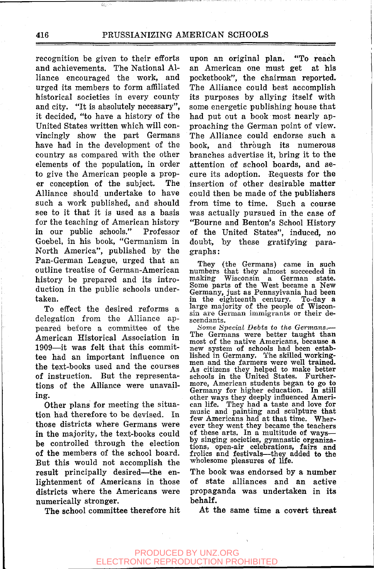recognition be given to their efforts and achievements. The National Alliance encouraged the work, and urged its members to form affiliated historical societies in every county and city. "It is absolutely necessary", it decided, "to have a history of the United States written which will convincingly show the part Germans have had in the development of the country as compared with the other elements of the population, in order to give the American people a proper conception of the subject. The Alliance should undertake to have such a work published, and should see to it that it is used as a basis for the teaching of American history in our public schools." Professor Goebel, in his book, "Germanism in North America", published by the Pan-German League, urged that an outline treatise of German-American history be prepared and its introduction in the public schools undertaken.

To effect the desired reforms a delegation from the Alliance appeared before a committee of the American Historical Association in 1909—it was felt that this committee had an important influence on the text-books used and the courses of instruction. But the representations of the Alliance were unavailing.

Other plans for meeting the situation had therefore to be devised. In those districts where Germans were in the majority, the text-books could be controlled through the election of the members of the school board. But this would not accomplish the result principally desired—^the enlightenment of Americans in those districts where the Americans were numerically stronger.

The school committee therefore hit

upon an original plan. "To reach an American one must get at his pocketbook", the chairman reported. The Alliance could best accomplish its purposes by allying itself with some energetic publishing house that had put out a book most nearly approaching the German point of view. The Alliance could endorse such a book, and through its numerous branches advertise it, bring it to the attention of school boards, and secure its adoption. Requests for the insertion of other desirable matter could then be made of the publishers from time to time. Such a course was actually pursued in the case of "Bourne and Benton's School History of the United States", induced, no doubt, by these gratifying paragraphs :

They (the Germans) came in such numbers that they almost succeeded in making Wisconsin a German state. Some parts of the West became a New Germany, just as Pennsylvania had been in the eighteenth century. To-day a large majority of the people of Wisconsin are German immigrants or their descendants.

Some Special Debts to the Germans. The Germans were better taught than most of the native Americans, because a new system of schools had been established in Germany. The skilled workingmen and the farmers were well trained. As citizens they helped to make better schools in the United States. Furthermore, American students began to go to Germany for higher education. In still other ways they deeply influenced American life. They had a taste and love for music and painting and sculpture that few Americans had at that time. Wherever they went they became the teachers of these arts. In a multitude of ways by singing societies, gymnastic organizations, open-air celebrations, fairs and frolics and festivals—they added to the wholesome pleasures of life.

The book was endorsed by a number of state alliances and an active propaganda was undertaken in its behalf.

At the same **time** a **covert threat**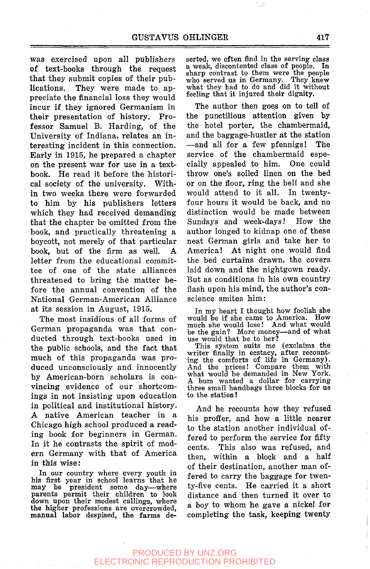was exercised upon all publishers of text-books through the request that they submit copies of their publications. They were made to appreciate the financial loss they would incur if they ignored Germanism in their presentation of history. Professor Samuel B. Harding, of the University of Indiana, relates an interesting incident in this connection. Early in 1915, he prepared a chapter on the present war for use in a textbook. He read it before the historical society of the university. Within two weeks there were forwarded to him by his publishers letters which they had received demanding that the chapter be omitted from the book, and practically threatening a boycott, not merely of that particular book, but of the firm as well. A letter from the educational committee of one of the state alliances threatened to bring the matter before the annual convention of the National German-American Alliance at its session in August, 1915.

The most insidious of all forms of German propaganda was that conducted through text-books used in the public schools, and the fact that much of this propaganda was produced unconsciously and innocently by American-born scholars is convincing evidence of our shortcomings in not insisting upon education in political and institutional history. A native American teacher in a Chicago high school produced a reading book for beginners in German. In it he contrasts the spirit of modern Germany with that of America in this wise:

In our country where every youth in his first year in school learns that he may be president some day—where parents permit their children to look down upon their modest callings, where the higher professions are overcrowded, manual labor despised, the farms deserted, we often find in the serving class a weak, discontented class of people. In sharp contrast to them were the people who served us in Germany. They knew what they had to do and did it without feeling that it injured their dignity.

The author then goes on to tell of the punctilious attention given by the hotel porter, the chambermaid, and the baggage-hustler at the station —and all for a few pfennigs! The service of the chambermaid especially appealed to him. One could throw one's soiled linen on the bed or on the floor, ring the bell and she would attend to it all. In twentyfour hours it would be back, and no distinction would be made between Sundays and week-days! How the author longed to kidnap one of these neat German girls and take her to America! At night one would find the bed curtains drawn, the covers laid down and the nightgown ready. But as conditions in his own country flash upon his mind, the author's conscience smites him:

In my heart I thought how foolish she would be if she came to America. How much she would lose! And what would be the gain? More money—and of what use would that be to her?

This system suits me (exclaims the writer finally in ecstacy, after recounting the comforts of life in Germany). And the prices! Compare them with what would be demanded in New York. A bum wanted a dollar for carrying three small handbags three blocks for us to the station!

And he recounts how they refused his proffer, and how a little nearer to the station another individual offered to perform the service for fifty cents. This also was refused, and then, within a block and a half of their destination, another man offered to carry the baggage for twenty-five cents. He carried it a short distance and then turned it over to a boy to whom he gave a nickel for completing the task, keeping twenty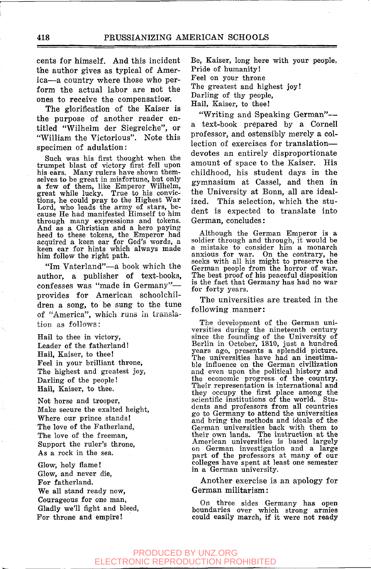cents for himself. And this incident the author gives as typical of America—a country where those who perform the actual labor are not the ones to receive the compensation.

The glorification of the Kaiser is the purpose of another reader entitled "Wilhelm der Siegreiche", or "William the Victorious". Note this specimen of adulation:

Such was his first thought when the trumpet blast of victory first fell upon his ears. Many rulers have shown themselves to be great in misfortune, but only a few of them, like Emperor Wilhelm, great while lucky. True to his convictions, he could pray to the Highest War<br>Lord, who leads the army of stars, be-<br>Lord, who leads the army o through many expressions and tokens. And as a Christian and a hero paying heed to these tokens, the Emperor had acquired a keen ear for God's words, a keen ear for hints which always made him follow the right path.

"Im Vaterland"—a book which the author, a publisher of text-books, confesses was "made in Germany"provides for American schoolchildren a song, to be sung to the tune of "America", which runs in translation as follows:

Hail to thee in victory. Leader of the fatherland! Hail, Kaiser, to thee! Feel in your brilliant throne, The highest and greatest joy. Darling of the people! Hail, Kaiser, to thee.

Not horse and trooper, Make secure the exalted height, Where our prince stands! The love of the Fatherland, The love of the freeman. Support the ruler's throne, As a rock in the sea.

Glow, holy flame! Glow, and never die, For fatherland. We all stand ready now. Courageous for one man, Gladly we'll fight and bleed, For throne and empire!

Be, Kaiser, long here with your people, Pride of humanity! Feel on your throne The greatest and highest joy! Darling of thy people, Hail, Kaiser, to thee!

"Writing and Speaking German"a text-book prepared by a Cornell professor, and ostensibly merely a collection of exercises for translation devotes an entirely disproportionate amount of space to the Kaiser. His childhood, his student days in the gymnasium at Cassel, and then in the University at Bonn, all are idealized. This selection, which the student is expected to translate into German, concludes:

Although the German Emperor is a soldier through and through, it would be a mistake to consider him a monarch anxious for war. On the contrary, he seeks with all his might to preserve the German people from the horror of war. The best proof of his peaceful disposition is the fact that Germany has had no war for forty years.

The universities are treated in the following manner:

The development of the German universities during the nineteenth century since the founding of the University of Berlin in October, 1810, just a hundred years ago, presents a splendid picture. The universities have had an inestima-ble influence on the German civilization and even upon the political history and the economic progress of the country. Their representation is international and they occupy the first place among the scientific institutions of the world. Students and professors from all countries go to Germany to attend the universities and bring the methods and ideals of the German universities back with them to their own lands. The instruction at the American universities is based largely on German investigation and a large part of the professors at many of our colleges have spent at least one semester colleges have spent at least one semester<br>in a German university.

Another exercise is an apology for German militarism:

On three sides Germany has open boundaries over which strong armies could easily march, if it were not ready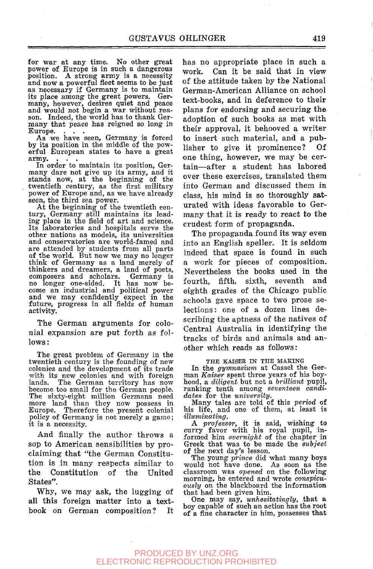for war at any time. No other great power of Europe is in such a dangerous position. A strong army is a necessity and now a powerful fleet seems to be just as necessary i£ Germany is to maintain its place among the great powers. Ger-many, however, desires quiet and peace and would not begin a war without rea-son. Indeed, the world has to thank Germany that peace has reigned so long in Europe.

As we have seen, Germany is forced by its position in the middle of the pow-erful European states to have a great army.

In order to maintain its position, Germany dare not give up its army, and it stands now, at the beginning of the twentieth century, as the first military power of Europe and, as we have already seen, the third sea power.

At the beginning of the twentieth century, Germany still maintains its leading place in the field of art and science. Its laboratories and hospitals serve the other nations as models, its universities and conservatories are world-famed and are attended by students from all parts of the world. But now we may no longer think of Germany as a land merely of thinkers and dreamers, a land of poets, composers and scholars. Germany is no longer one-sided. It has now become an industrial and political power and we may confidently expect in the future, progress in all fields of human activity.

The German arguments for colonial expansion are put forth as follows:

The great problem of Germany in the twentieth century is the founding of new colonies and the development of its trade with its new colonies and with foreign lands. The German territory has now become too small for the German people. The sixty-eight million Germans need more land than they now possess in<br>Europe. Therefore the present colonial Therefore the present colonial policy of Germany is not merely a game; it is a necessity.

And finally the author throws a sop to American sensibilities by proclaiming that "the German Constitution is in many respects similar to the Constitution of the United States".

Why, we may ask, the lugging of all this foreign matter into a textbook on German composition?

has no appropriate place in such a work. Can it be said that in view of the attitude taken by the National German-American Alliance on school text-books, and in deference to their plans for endorsing and securing the adoption of such books as met with their approval, it behooved a writer to insert such material, and a publisher to give it prominence? Of one thing, however, we may be certain-after a student has labored over these exercises, translated them into German and discussed them in class, his mind is so thoroughly saturated with ideas favorable to Germany that it is ready to react to the crudest form of propaganda.

The propaganda found its way even into an English speller. It is seldom indeed that space is found in such a work for pieces of composition. Nevertheless the books used in the fourth, fifth, sixth, seventh and eighth grades of the Chicago public schools gave space to two prose selections: one of a dozen lines describing the aptness of the natives of Central Australia in identifying the tracks of birds and animals and another which reads as follows:

#### THE KAISER IN THE MAKING

In the *gymnasium* at Cassel the German *Kaiser* spent three years of his boyhood, a *diligent* but not a *brilliant* pupil, ranking tenth among *seventeen candidates* for the *university.* 

Many tales are told of this *period* of his life, and one of them, at least is  $\ddot{\textit{illuminating}}$ .

A *professor,* it is said, wishing to curry favor with his royal pupil, informed him *overnight* of the chapter in Greek that was to be made the *subject*  of the next day's lesson.

The young *prince* did what many boys would not have done. As soon as the classroom was *opened* on the following morning, he entered and wrote *conspicuously* on the blackboard the information that had been given him.

One may say, *unhesitatingly,* that a boy capable of such an action has the root of a fine character in him, possesses that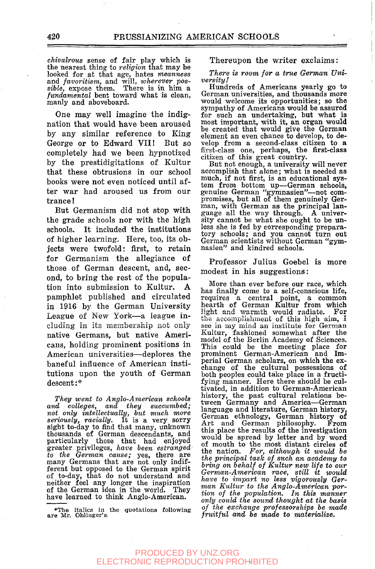*chivalrous* sense of fair play which is the nearest thing to *religion* that may be looked for at that age, hates *meanness*  and *favoritism,* and will, *wherever possible,* expose them. There is in him a *fundamental* bent toward what is clean, manly and aboveboard.

One may well imagine the indignation that would have been aroused by any similar reference to King George or to Edward VII! But so completely had we been hypnotized by the prestidigitations of Kultur that these obtrusions in our school books were not even noticed until after war had aroused us from our trance !

But Germanism did not stop with the grade schools nor with the high schools. It included the institutions of higher learning. Here, too, its objects were twofold: first, to retain for Germanism the allegiance of those of German descent, and, second, to bring the rest of the population into submission to Kultur. A pamphlet published and circulated in 1916 by the German University League of New York—a league including in its membership not only native Germans, but native Americans, holding prominent positions in American universities—deplores the baneful influence of American institutions upon the youth of German descent:\*

*They went to Anglo-American schools and colleges, and they succumbed; not only intellectually, but much more seriously, racially.* It is a very sorry sight to-day to find that many, unknown thousands of German descendants, and particularly those that had enjoyed greater privileges, *have been estranged to the German cause;* yes, there are many Germans that are not only indifferent but opposed to the German spirit of to-day, that do not understand and neither feel any longer the inspiration of the German idea in the world. They have learned to think Anglo-American.

\*The italics in the quotations following<br>are Mr. Ohlinger's.

Thereupon the writer exclaims:

*There is room for a true German University!* 

Hundreds of Americans yearly go to German universities, and thousands more would welcome its opportunities; so the sympathy of Americans would be assured for such an undertaking, but what is most important, with it, an organ would be created that would give the German element an even chance to develop, to develop from a second-class citizen to a first-class one, perhaps, the first-class citizen of this great country.

But not enough, a university will never accomplish that alone; what is needed as much, if not first, is an educational system from bottom up—German schools, genuine German "gymnasien"—not compromises, but all of them genuinely German, with German as the principal language all the way through. A university cannot be what she ought to be unless she is fed by corresponding preparatory schools; and you cannot turn out German scientists without German "gymnasien" and kindred schools.

Professor Julius Goebel is more modest in his suggestions:

More than ever before our race, which has finally come to a self-conscious life, requires a central point, a common hearth of German Kultur from which light and warmth would radiate. For the accomplishment of this high aim, I<br>see in my mind an institute for German<br>Kultur, fashioned somewhat after the model of the Berlin Academy of Sciences. This could be the meeting place for<br>prominent German-American and Imperial German scholars, on which the ex-change of the cultural possessions of both peoples could take place in a fructifying manner. Here there should be cultivated, in addition to German-American history, the past cultural relations between Germany and America—German language and literature, German history, ranguage and merature, derman history,<br>German ethnology, German history of<br>Art and German philosophy. From<br>this place the results of the investigation this place the results of the investigation<br>would be spread by letter and by word would be spread by letter and by word of mouth to the most distant circles of the nation. For, although it would be the principal task of such an academy to *bring on behalf of Kultur new life to our have to impart no less vigorously Ger-man Kultur to the Anglo-American porman Kultur to the Anglo-American portion of the population. In this manner* only could the sound thought at the basis of the exchange professorships be made<br>fruitful and be made to materialize.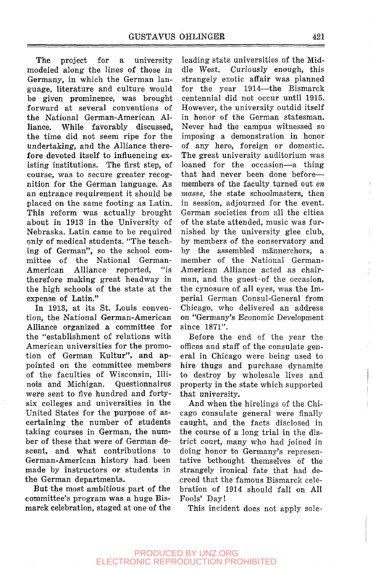The project for a university modeled along the lines of those in Germany, in which the German language, literature and culture would be given prominence, was brought forward at several conventions of the National German-American Alliance. While favorably discussed, the time did not seem ripe for the undertaking, and the Alliance therefore devoted itself to influencing existing institutions. The first step, of course, was to secure greater recognition for the German language. As an entrance requirement it should be placed on the same footing as Latin. This reform was actually brought about in 1913 in the University of Nebraska. Latin came to be required only of medical students. "The teaching of German", so the school committee of the National German-American Alliance reported, "is therefore making great headway in the high schools of the state at the expense of Latin."

In 1913, at its St. Louis convention, the National German-American Alliance organized a committee for the "establishment of relations with American universities for the promotion of German Kultur", and appointed on the committee members of the faculties of Wisconsin, Illinois and Michigan. Questionnaires were sent to five hundred and fortysix colleges and universities in the United States for the purpose of ascertaining the number of students taking courses in German, the number of these that were of German descent, and what contributions to German-American history had been made by instructors or students in the German departments.

But the most ambitious part of the committee's program was a huge Bismarck celebration, staged at one of the

leading state universities of the Middle West. Curiously enough, this strangely exotic affair was planned for the year 1914—the Bismarck centennial did not occur until 1915. However, the university outdid itself in honor of the German statesman. Never had the campus witnessed so imposing a demonstration in honor of any hero, foreign or domestic. The great university auditorium was loaned for the occasion—a thing that had never been done before members of the faculty turned out *en masse,* the state schoolmasters, then in session, adjourned for the event. German societies from all the cities of the state attended, music was furnished by the university glee club, by members of the conservatory and by the assembled männerchors, a member of the National German-American Alliance acted as chairman, and the guest-of the occasion, the cynosure of all eyes, was the Imperial German Consul-General from Chicago, who delivered an address on "Germany's Economic Development since 1871".

Before the end of the year the offices and staff of the consulate general in Chicago were being used to hire thugs and purchase dynamite to destroy by wholesale lives and property in the state which supported that university.

And when the hirelings of the Chicago consulate general were finally caught, and the facts disclosed in the course of a long trial in the district court, many who had joined in doing honor to Germany's representative bethought themselves of the strangely ironical fate that had decreed that the famous Bismarck celebration of 1914 should fall on All Fools' Day!

This incident does not apply sole-